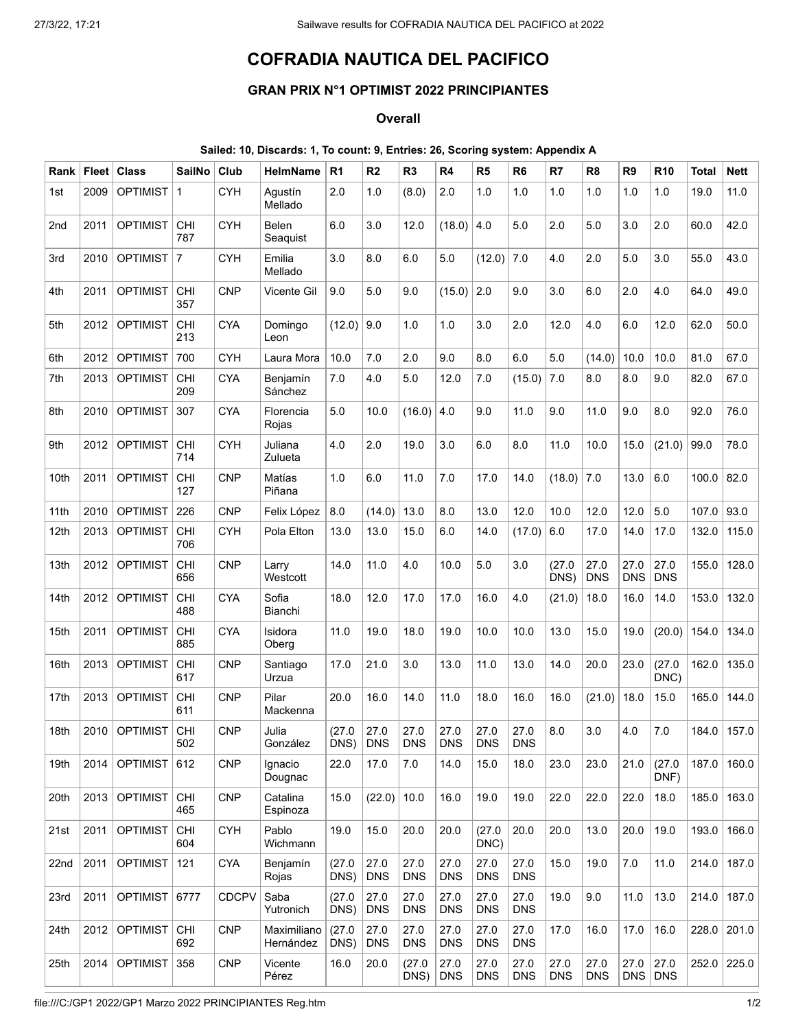## COFRADIA NAUTICA DEL PACIFICO

## GRAN PRIX N°1 OPTIMIST 2022 PRINCIPIANTES

## **Overall**

## Sailed: 10, Discards: 1, To count: 9, Entries: 26, Scoring system: Appendix A

| Rank | <b>Fleet</b> | <b>Class</b>    | SailNo            | Club         | <b>HelmName</b>          | R <sub>1</sub>       | R <sub>2</sub>     | R <sub>3</sub>     | R4                 | R <sub>5</sub>     | R <sub>6</sub>     | R7                 | R <sub>8</sub>     | R <sub>9</sub>     | R <sub>10</sub>    | <b>Total</b> | <b>Nett</b> |
|------|--------------|-----------------|-------------------|--------------|--------------------------|----------------------|--------------------|--------------------|--------------------|--------------------|--------------------|--------------------|--------------------|--------------------|--------------------|--------------|-------------|
| 1st  | 2009         | <b>OPTIMIST</b> | $\mathbf{1}$      | <b>CYH</b>   | Agustín<br>Mellado       | 2.0                  | 1.0                | (8.0)              | 2.0                | 1.0                | 1.0                | 1.0                | 1.0                | 1.0                | 1.0                | 19.0         | 11.0        |
| 2nd  | 2011         | <b>OPTIMIST</b> | CHI<br>787        | <b>CYH</b>   | <b>Belen</b><br>Seaguist | 6.0                  | 3.0                | 12.0               | (18.0)             | 4.0                | 5.0                | 2.0                | 5.0                | 3.0                | 2.0                | 60.0         | 42.0        |
| 3rd  | 2010         | <b>OPTIMIST</b> | $\overline{7}$    | <b>CYH</b>   | Emilia<br>Mellado        | 3.0                  | 8.0                | 6.0                | 5.0                | (12.0)             | 7.0                | 4.0                | 2.0                | 5.0                | 3.0                | 55.0         | 43.0        |
| 4th  | 2011         | <b>OPTIMIST</b> | <b>CHI</b><br>357 | <b>CNP</b>   | <b>Vicente Gil</b>       | 9.0                  | 5.0                | 9.0                | (15.0)             | 2.0                | 9.0                | 3.0                | 6.0                | 2.0                | 4.0                | 64.0         | 49.0        |
| 5th  | 2012         | <b>OPTIMIST</b> | <b>CHI</b><br>213 | <b>CYA</b>   | Domingo<br>Leon          | (12.0)               | 9.0                | 1.0                | 1.0                | 3.0                | 2.0                | 12.0               | 4.0                | 6.0                | 12.0               | 62.0         | 50.0        |
| 6th  | 2012         | <b>OPTIMIST</b> | 700               | <b>CYH</b>   | Laura Mora               | 10.0                 | 7.0                | 2.0                | 9.0                | 8.0                | 6.0                | 5.0                | (14.0)             | 10.0               | 10.0               | 81.0         | 67.0        |
| 7th  | 2013         | <b>OPTIMIST</b> | <b>CHI</b><br>209 | <b>CYA</b>   | Benjamín<br>Sánchez      | 7.0                  | 4.0                | 5.0                | 12.0               | 7.0                | (15.0)             | 7.0                | 8.0                | 8.0                | 9.0                | 82.0         | 67.0        |
| 8th  | 2010         | <b>OPTIMIST</b> | 307               | <b>CYA</b>   | Florencia<br>Rojas       | 5.0                  | 10.0               | (16.0)             | 4.0                | 9.0                | 11.0               | 9.0                | 11.0               | 9.0                | 8.0                | 92.0         | 76.0        |
| 9th  | 2012         | <b>OPTIMIST</b> | CHI<br>714        | <b>CYH</b>   | Juliana<br>Zulueta       | 4.0                  | 2.0                | 19.0               | 3.0                | 6.0                | 8.0                | 11.0               | 10.0               | 15.0               | (21.0)             | 99.0         | 78.0        |
| 10th | 2011         | <b>OPTIMIST</b> | CHI<br>127        | <b>CNP</b>   | Matías<br>Piñana         | 1.0                  | 6.0                | 11.0               | 7.0                | 17.0               | 14.0               | (18.0)             | 7.0                | 13.0               | 6.0                | 100.0        | 82.0        |
| 11th | 2010         | <b>OPTIMIST</b> | 226               | <b>CNP</b>   | Felix López              | 8.0                  | (14.0)             | 13.0               | 8.0                | 13.0               | 12.0               | 10.0               | 12.0               | 12.0               | 5.0                | 107.0        | 93.0        |
| 12th | 2013         | <b>OPTIMIST</b> | <b>CHI</b><br>706 | <b>CYH</b>   | Pola Elton               | 13.0                 | 13.0               | 15.0               | 6.0                | 14.0               | (17.0)             | 6.0                | 17.0               | 14.0               | 17.0               | 132.0        | 115.0       |
| 13th | 2012         | <b>OPTIMIST</b> | <b>CHI</b><br>656 | <b>CNP</b>   | Larry<br>Westcott        | 14.0                 | 11.0               | 4.0                | 10.0               | 5.0                | 3.0                | (27.0)<br>DNS)     | 27.0<br><b>DNS</b> | 27.0<br><b>DNS</b> | 27.0<br><b>DNS</b> | 155.0        | 128.0       |
| 14th | 2012         | <b>OPTIMIST</b> | <b>CHI</b><br>488 | <b>CYA</b>   | Sofia<br>Bianchi         | 18.0                 | 12.0               | 17.0               | 17.0               | 16.0               | 4.0                | (21.0)             | 18.0               | 16.0               | 14.0               | 153.0        | 132.0       |
| 15th | 2011         | <b>OPTIMIST</b> | <b>CHI</b><br>885 | <b>CYA</b>   | Isidora<br>Oberg         | 11.0                 | 19.0               | 18.0               | 19.0               | 10.0               | 10.0               | 13.0               | 15.0               | 19.0               | (20.0)             | 154.0        | 134.0       |
| 16th | 2013         | <b>OPTIMIST</b> | <b>CHI</b><br>617 | <b>CNP</b>   | Santiago<br>Urzua        | 17.0                 | 21.0               | 3.0                | 13.0               | 11.0               | 13.0               | 14.0               | 20.0               | 23.0               | (27.0)<br>DNC)     | 162.0        | 135.0       |
| 17th | 2013         | <b>OPTIMIST</b> | <b>CHI</b><br>611 | <b>CNP</b>   | Pilar<br>Mackenna        | 20.0                 | 16.0               | 14.0               | 11.0               | 18.0               | 16.0               | 16.0               | (21.0)             | 18.0               | 15.0               | 165.0        | 144.0       |
| 18th | 2010         | <b>OPTIMIST</b> | <b>CHI</b><br>502 | <b>CNP</b>   | Julia<br>González        | (27.0)<br>$DNS)$ DNS | 27.0               | 27.0<br><b>DNS</b> | 27.0<br><b>DNS</b> | 27.0<br><b>DNS</b> | 27.0<br><b>DNS</b> | 8.0                | 3.0                | 4.0                | 7.0                | 184.0        | 157.0       |
| 19th | 2014         | <b>OPTIMIST</b> | 612               | <b>CNP</b>   | Ignacio<br>Dougnac       | 22.0                 | 17.0               | 7.0                | 14.0               | 15.0               | 18.0               | 23.0               | 23.0               | 21.0               | (27.0)<br>DNF)     | 187.0        | 160.0       |
| 20th | 2013         | <b>OPTIMIST</b> | <b>CHI</b><br>465 | <b>CNP</b>   | Catalina<br>Espinoza     | 15.0                 | (22.0)             | 10.0               | 16.0               | 19.0               | 19.0               | 22.0               | 22.0               | 22.0               | 18.0               | 185.0        | 163.0       |
| 21st | 2011         | <b>OPTIMIST</b> | <b>CHI</b><br>604 | <b>CYH</b>   | Pablo<br>Wichmann        | 19.0                 | 15.0               | 20.0               | 20.0               | (27.0)<br>DNC)     | 20.0               | 20.0               | 13.0               | 20.0               | 19.0               | 193.0        | 166.0       |
| 22nd | 2011         | <b>OPTIMIST</b> | 121               | <b>CYA</b>   | Benjamín<br>Rojas        | (27.0)<br>DNS)       | 27.0<br><b>DNS</b> | 27.0<br><b>DNS</b> | 27.0<br><b>DNS</b> | 27.0<br><b>DNS</b> | 27.0<br><b>DNS</b> | 15.0               | 19.0               | 7.0                | 11.0               | 214.0        | 187.0       |
| 23rd | 2011         | <b>OPTIMIST</b> | 6777              | <b>CDCPV</b> | Saba<br>Yutronich        | (27.0)<br>DNS)       | 27.0<br><b>DNS</b> | 27.0<br><b>DNS</b> | 27.0<br><b>DNS</b> | 27.0<br><b>DNS</b> | 27.0<br><b>DNS</b> | 19.0               | 9.0                | 11.0               | 13.0               | 214.0        | 187.0       |
| 24th | 2012         | <b>OPTIMIST</b> | <b>CHI</b><br>692 | <b>CNP</b>   | Maximiliano<br>Hernández | (27.0)<br>DNS)       | 27.0<br><b>DNS</b> | 27.0<br><b>DNS</b> | 27.0<br><b>DNS</b> | 27.0<br><b>DNS</b> | 27.0<br><b>DNS</b> | 17.0               | 16.0               | 17.0               | 16.0               | 228.0        | 201.0       |
| 25th | 2014         | <b>OPTIMIST</b> | 358               | <b>CNP</b>   | Vicente<br>Pérez         | 16.0                 | 20.0               | (27.0)<br>DNS)     | 27.0<br><b>DNS</b> | 27.0<br><b>DNS</b> | 27.0<br><b>DNS</b> | 27.0<br><b>DNS</b> | 27.0<br><b>DNS</b> | 27.0               | 27.0<br>$DNS$ DNS  | 252.0        | 225.0       |

file:///C:/GP1 2022/GP1 Marzo 2022 PRINCIPIANTES Reg.htm 1/2